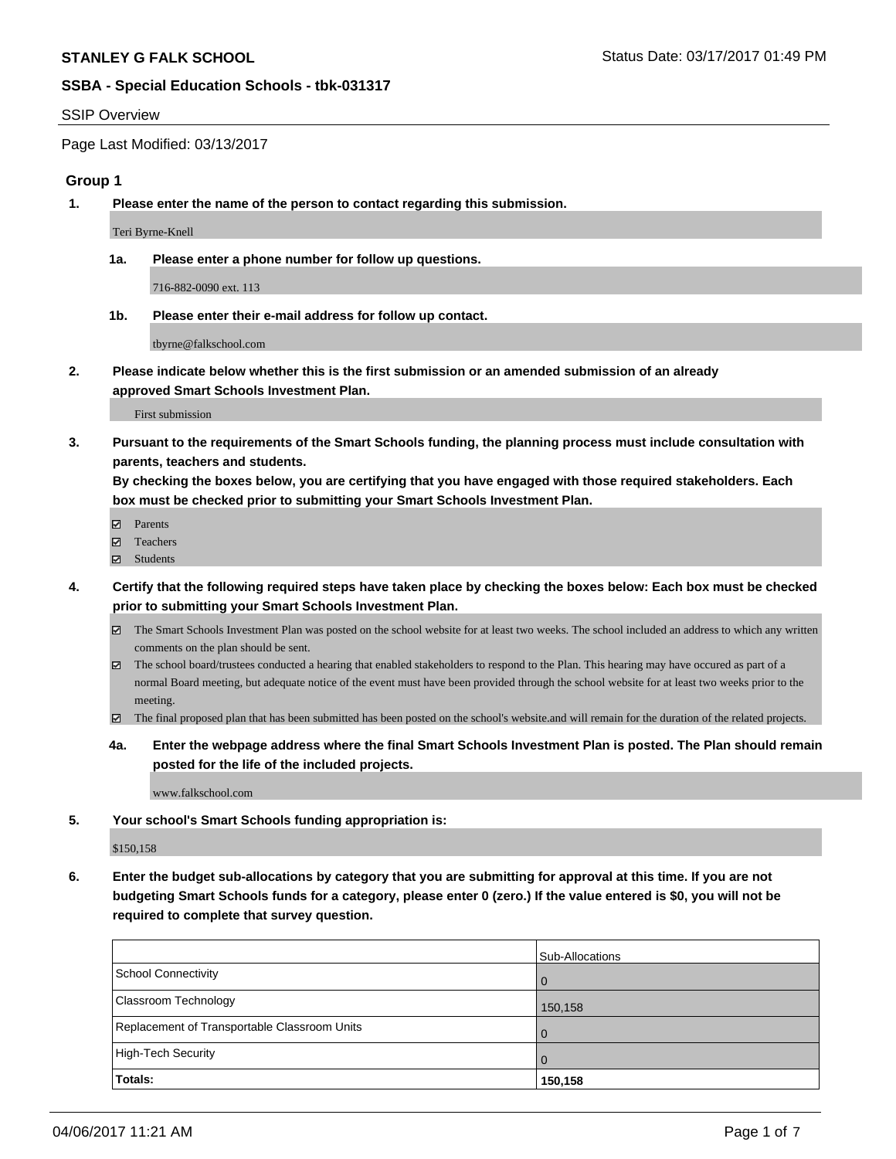#### SSIP Overview

Page Last Modified: 03/13/2017

# **Group 1**

**1. Please enter the name of the person to contact regarding this submission.**

Teri Byrne-Knell

**1a. Please enter a phone number for follow up questions.**

716-882-0090 ext. 113

**1b. Please enter their e-mail address for follow up contact.**

tbyrne@falkschool.com

**2. Please indicate below whether this is the first submission or an amended submission of an already approved Smart Schools Investment Plan.**

First submission

**3. Pursuant to the requirements of the Smart Schools funding, the planning process must include consultation with parents, teachers and students.**

**By checking the boxes below, you are certifying that you have engaged with those required stakeholders. Each box must be checked prior to submitting your Smart Schools Investment Plan.**

- **Ø** Parents
- Teachers
- Students
- **4. Certify that the following required steps have taken place by checking the boxes below: Each box must be checked prior to submitting your Smart Schools Investment Plan.**
	- The Smart Schools Investment Plan was posted on the school website for at least two weeks. The school included an address to which any written comments on the plan should be sent.
	- The school board/trustees conducted a hearing that enabled stakeholders to respond to the Plan. This hearing may have occured as part of a normal Board meeting, but adequate notice of the event must have been provided through the school website for at least two weeks prior to the meeting.
	- The final proposed plan that has been submitted has been posted on the school's website.and will remain for the duration of the related projects.
	- **4a. Enter the webpage address where the final Smart Schools Investment Plan is posted. The Plan should remain posted for the life of the included projects.**

www.falkschool.com

**5. Your school's Smart Schools funding appropriation is:**

\$150,158

**6. Enter the budget sub-allocations by category that you are submitting for approval at this time. If you are not budgeting Smart Schools funds for a category, please enter 0 (zero.) If the value entered is \$0, you will not be required to complete that survey question.**

|                                              | Sub-Allocations |
|----------------------------------------------|-----------------|
| School Connectivity                          |                 |
| Classroom Technology                         | 150,158         |
| Replacement of Transportable Classroom Units |                 |
| High-Tech Security                           | $\mathbf{I}$    |
| Totals:                                      | 150,158         |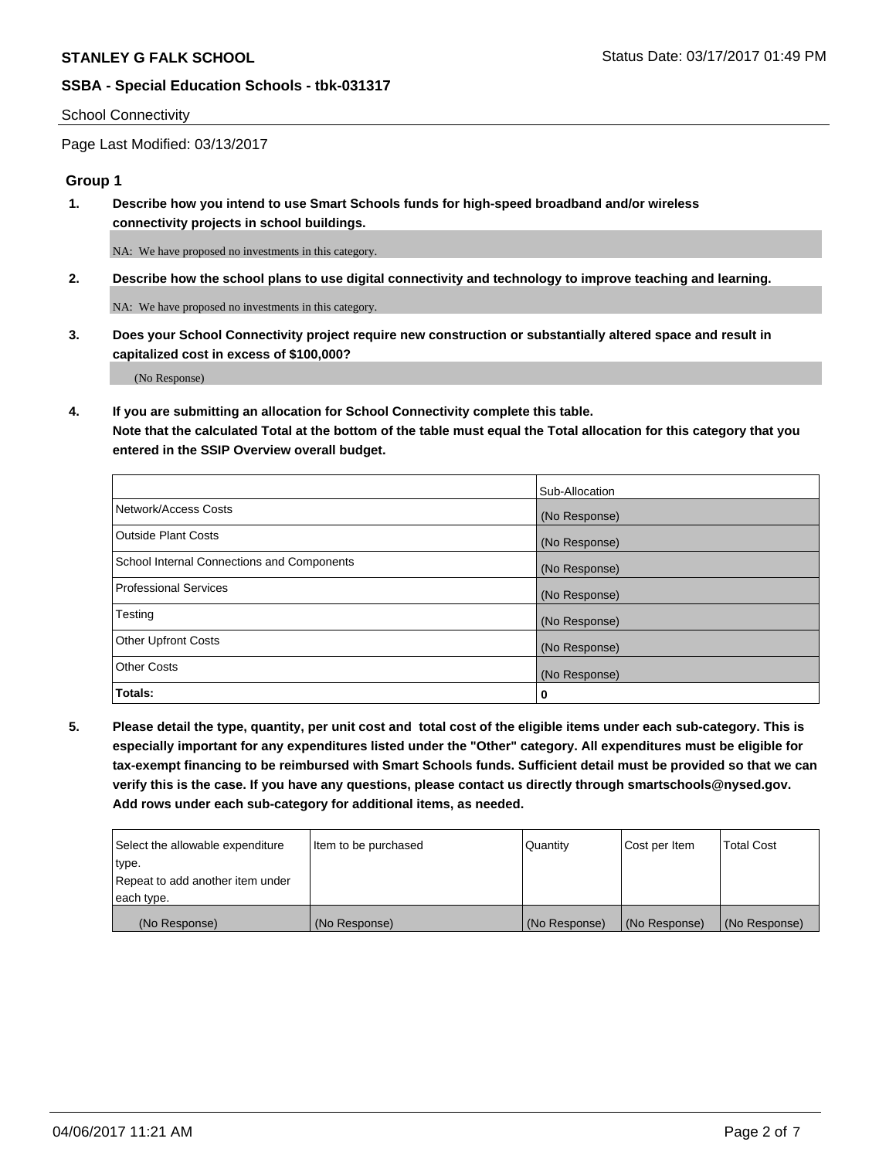#### School Connectivity

Page Last Modified: 03/13/2017

# **Group 1**

**1. Describe how you intend to use Smart Schools funds for high-speed broadband and/or wireless connectivity projects in school buildings.**

NA: We have proposed no investments in this category.

**2. Describe how the school plans to use digital connectivity and technology to improve teaching and learning.**

NA: We have proposed no investments in this category.

**3. Does your School Connectivity project require new construction or substantially altered space and result in capitalized cost in excess of \$100,000?**

(No Response)

**4. If you are submitting an allocation for School Connectivity complete this table.**

**Note that the calculated Total at the bottom of the table must equal the Total allocation for this category that you entered in the SSIP Overview overall budget.** 

|                                            | Sub-Allocation |
|--------------------------------------------|----------------|
| Network/Access Costs                       | (No Response)  |
| Outside Plant Costs                        | (No Response)  |
| School Internal Connections and Components | (No Response)  |
| <b>Professional Services</b>               | (No Response)  |
| Testing                                    | (No Response)  |
| <b>Other Upfront Costs</b>                 | (No Response)  |
| <b>Other Costs</b>                         | (No Response)  |
| Totals:                                    | 0              |

**5. Please detail the type, quantity, per unit cost and total cost of the eligible items under each sub-category. This is especially important for any expenditures listed under the "Other" category. All expenditures must be eligible for tax-exempt financing to be reimbursed with Smart Schools funds. Sufficient detail must be provided so that we can verify this is the case. If you have any questions, please contact us directly through smartschools@nysed.gov. Add rows under each sub-category for additional items, as needed.**

| Select the allowable expenditure | Item to be purchased | Quantity      | Cost per Item | Total Cost    |
|----------------------------------|----------------------|---------------|---------------|---------------|
| type.                            |                      |               |               |               |
| Repeat to add another item under |                      |               |               |               |
| each type.                       |                      |               |               |               |
| (No Response)                    | (No Response)        | (No Response) | (No Response) | (No Response) |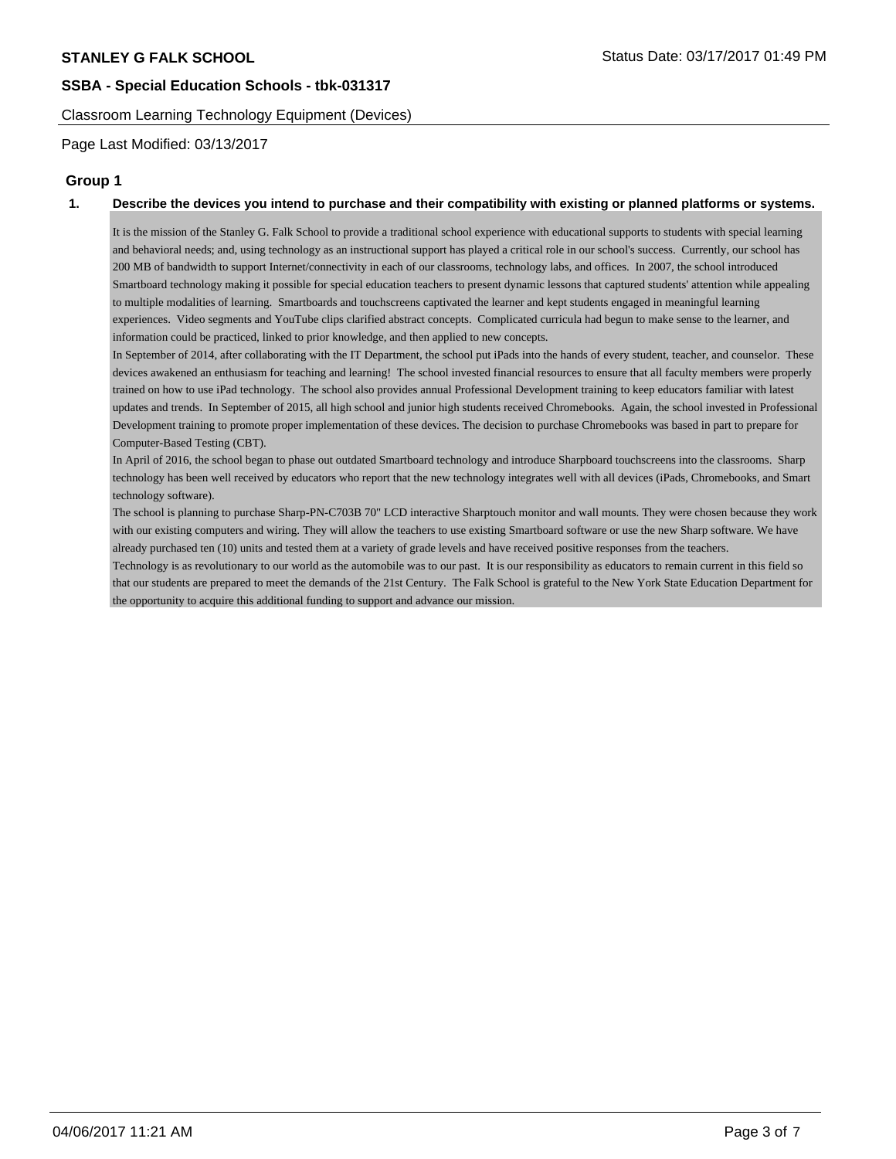Classroom Learning Technology Equipment (Devices)

Page Last Modified: 03/13/2017

# **Group 1**

#### **1. Describe the devices you intend to purchase and their compatibility with existing or planned platforms or systems.**

It is the mission of the Stanley G. Falk School to provide a traditional school experience with educational supports to students with special learning and behavioral needs; and, using technology as an instructional support has played a critical role in our school's success. Currently, our school has 200 MB of bandwidth to support Internet/connectivity in each of our classrooms, technology labs, and offices. In 2007, the school introduced Smartboard technology making it possible for special education teachers to present dynamic lessons that captured students' attention while appealing to multiple modalities of learning. Smartboards and touchscreens captivated the learner and kept students engaged in meaningful learning experiences. Video segments and YouTube clips clarified abstract concepts. Complicated curricula had begun to make sense to the learner, and information could be practiced, linked to prior knowledge, and then applied to new concepts.

In September of 2014, after collaborating with the IT Department, the school put iPads into the hands of every student, teacher, and counselor. These devices awakened an enthusiasm for teaching and learning! The school invested financial resources to ensure that all faculty members were properly trained on how to use iPad technology. The school also provides annual Professional Development training to keep educators familiar with latest updates and trends. In September of 2015, all high school and junior high students received Chromebooks. Again, the school invested in Professional Development training to promote proper implementation of these devices. The decision to purchase Chromebooks was based in part to prepare for Computer-Based Testing (CBT).

In April of 2016, the school began to phase out outdated Smartboard technology and introduce Sharpboard touchscreens into the classrooms. Sharp technology has been well received by educators who report that the new technology integrates well with all devices (iPads, Chromebooks, and Smart technology software).

The school is planning to purchase Sharp-PN-C703B 70" LCD interactive Sharptouch monitor and wall mounts. They were chosen because they work with our existing computers and wiring. They will allow the teachers to use existing Smartboard software or use the new Sharp software. We have already purchased ten (10) units and tested them at a variety of grade levels and have received positive responses from the teachers.

Technology is as revolutionary to our world as the automobile was to our past. It is our responsibility as educators to remain current in this field so that our students are prepared to meet the demands of the 21st Century. The Falk School is grateful to the New York State Education Department for the opportunity to acquire this additional funding to support and advance our mission.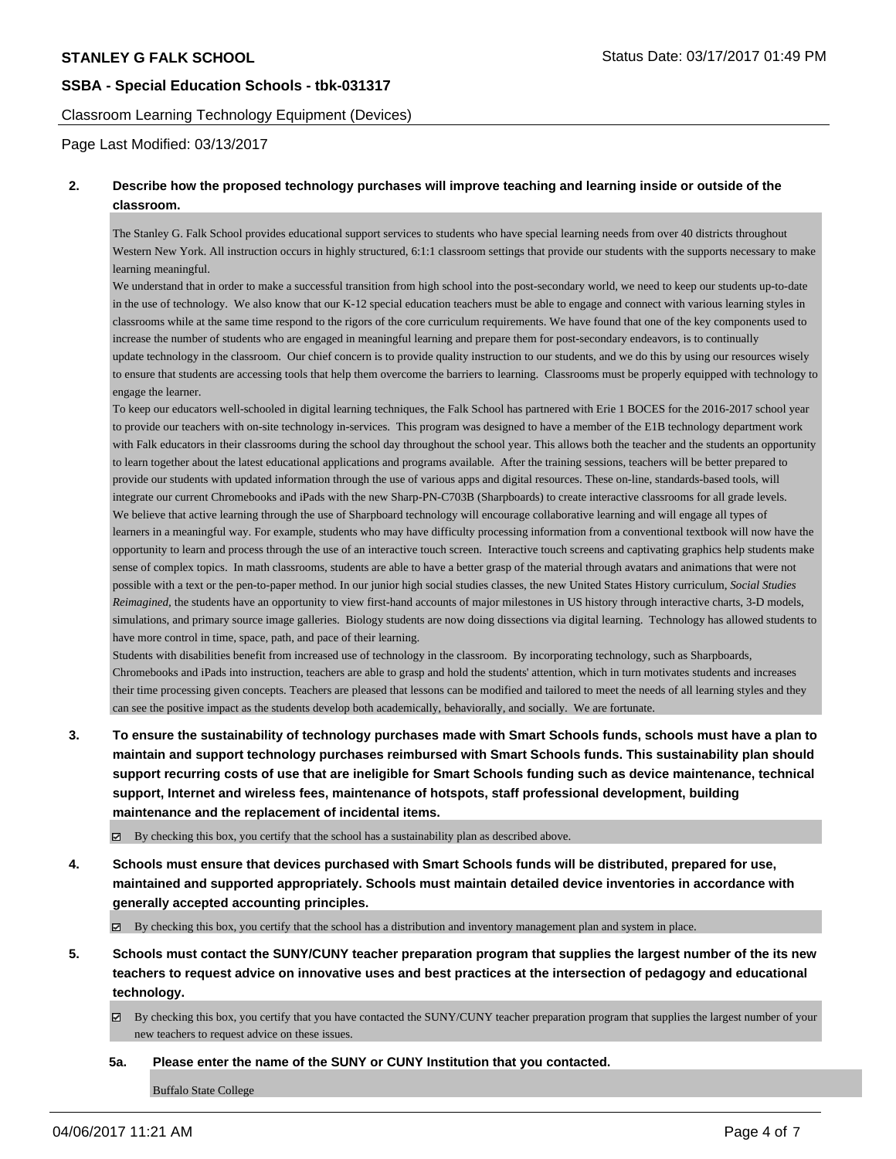Classroom Learning Technology Equipment (Devices)

Page Last Modified: 03/13/2017

# **2. Describe how the proposed technology purchases will improve teaching and learning inside or outside of the classroom.**

The Stanley G. Falk School provides educational support services to students who have special learning needs from over 40 districts throughout Western New York. All instruction occurs in highly structured, 6:1:1 classroom settings that provide our students with the supports necessary to make learning meaningful.

We understand that in order to make a successful transition from high school into the post-secondary world, we need to keep our students up-to-date in the use of technology. We also know that our K-12 special education teachers must be able to engage and connect with various learning styles in classrooms while at the same time respond to the rigors of the core curriculum requirements. We have found that one of the key components used to increase the number of students who are engaged in meaningful learning and prepare them for post-secondary endeavors, is to continually update technology in the classroom. Our chief concern is to provide quality instruction to our students, and we do this by using our resources wisely to ensure that students are accessing tools that help them overcome the barriers to learning. Classrooms must be properly equipped with technology to engage the learner.

To keep our educators well-schooled in digital learning techniques, the Falk School has partnered with Erie 1 BOCES for the 2016-2017 school year to provide our teachers with on-site technology in-services. This program was designed to have a member of the E1B technology department work with Falk educators in their classrooms during the school day throughout the school year. This allows both the teacher and the students an opportunity to learn together about the latest educational applications and programs available. After the training sessions, teachers will be better prepared to provide our students with updated information through the use of various apps and digital resources. These on-line, standards-based tools, will integrate our current Chromebooks and iPads with the new Sharp-PN-C703B (Sharpboards) to create interactive classrooms for all grade levels. We believe that active learning through the use of Sharpboard technology will encourage collaborative learning and will engage all types of learners in a meaningful way. For example, students who may have difficulty processing information from a conventional textbook will now have the opportunity to learn and process through the use of an interactive touch screen. Interactive touch screens and captivating graphics help students make sense of complex topics. In math classrooms, students are able to have a better grasp of the material through avatars and animations that were not possible with a text or the pen-to-paper method. In our junior high social studies classes, the new United States History curriculum, *Social Studies Reimagined,* the students have an opportunity to view first-hand accounts of major milestones in US history through interactive charts, 3-D models, simulations, and primary source image galleries. Biology students are now doing dissections via digital learning. Technology has allowed students to have more control in time, space, path, and pace of their learning.

Students with disabilities benefit from increased use of technology in the classroom. By incorporating technology, such as Sharpboards, Chromebooks and iPads into instruction, teachers are able to grasp and hold the students' attention, which in turn motivates students and increases their time processing given concepts. Teachers are pleased that lessons can be modified and tailored to meet the needs of all learning styles and they can see the positive impact as the students develop both academically, behaviorally, and socially. We are fortunate.

**3. To ensure the sustainability of technology purchases made with Smart Schools funds, schools must have a plan to maintain and support technology purchases reimbursed with Smart Schools funds. This sustainability plan should support recurring costs of use that are ineligible for Smart Schools funding such as device maintenance, technical support, Internet and wireless fees, maintenance of hotspots, staff professional development, building maintenance and the replacement of incidental items.**

By checking this box, you certify that the school has a sustainability plan as described above.

**4. Schools must ensure that devices purchased with Smart Schools funds will be distributed, prepared for use, maintained and supported appropriately. Schools must maintain detailed device inventories in accordance with generally accepted accounting principles.**

By checking this box, you certify that the school has a distribution and inventory management plan and system in place.

- **5. Schools must contact the SUNY/CUNY teacher preparation program that supplies the largest number of the its new teachers to request advice on innovative uses and best practices at the intersection of pedagogy and educational technology.**
	- $\boxtimes$  By checking this box, you certify that you have contacted the SUNY/CUNY teacher preparation program that supplies the largest number of your new teachers to request advice on these issues.

#### **5a. Please enter the name of the SUNY or CUNY Institution that you contacted.**

Buffalo State College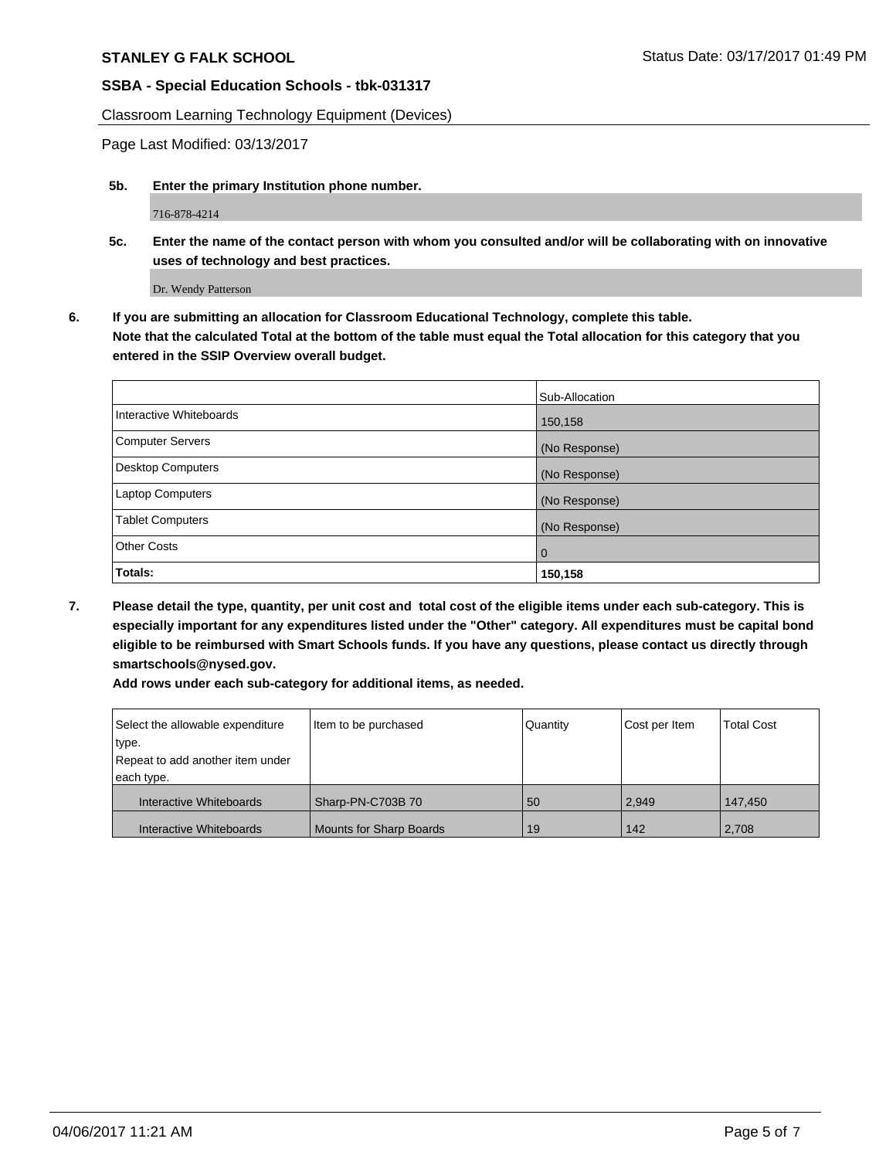Classroom Learning Technology Equipment (Devices)

Page Last Modified: 03/13/2017

**5b. Enter the primary Institution phone number.**

716-878-4214

**5c. Enter the name of the contact person with whom you consulted and/or will be collaborating with on innovative uses of technology and best practices.**

Dr. Wendy Patterson

**6. If you are submitting an allocation for Classroom Educational Technology, complete this table. Note that the calculated Total at the bottom of the table must equal the Total allocation for this category that you entered in the SSIP Overview overall budget.**

|                          | Sub-Allocation |
|--------------------------|----------------|
| Interactive Whiteboards  | 150,158        |
| Computer Servers         | (No Response)  |
| <b>Desktop Computers</b> | (No Response)  |
| <b>Laptop Computers</b>  | (No Response)  |
| <b>Tablet Computers</b>  | (No Response)  |
| <b>Other Costs</b>       | l 0            |
| Totals:                  | 150,158        |

**7. Please detail the type, quantity, per unit cost and total cost of the eligible items under each sub-category. This is especially important for any expenditures listed under the "Other" category. All expenditures must be capital bond eligible to be reimbursed with Smart Schools funds. If you have any questions, please contact us directly through smartschools@nysed.gov.**

**Add rows under each sub-category for additional items, as needed.**

| Select the allowable expenditure<br>type.<br>Repeat to add another item under | Item to be purchased    | Quantity | Cost per Item | <b>Total Cost</b> |
|-------------------------------------------------------------------------------|-------------------------|----------|---------------|-------------------|
| each type.                                                                    |                         |          |               |                   |
| Interactive Whiteboards                                                       | Sharp-PN-C703B 70       | 50       | 2.949         | 147.450           |
| Interactive Whiteboards                                                       | Mounts for Sharp Boards | 19       | 142           | 2,708             |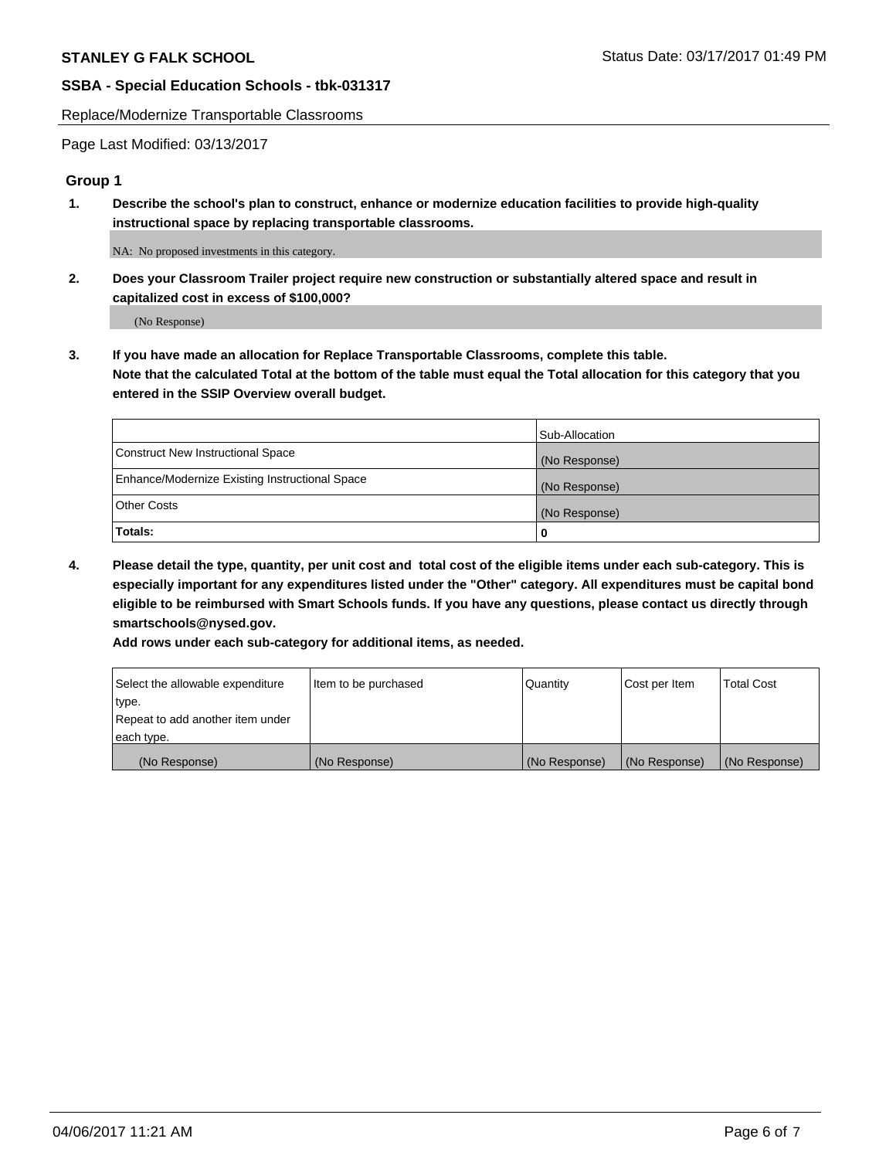Replace/Modernize Transportable Classrooms

Page Last Modified: 03/13/2017

## **Group 1**

**1. Describe the school's plan to construct, enhance or modernize education facilities to provide high-quality instructional space by replacing transportable classrooms.**

NA: No proposed investments in this category.

**2. Does your Classroom Trailer project require new construction or substantially altered space and result in capitalized cost in excess of \$100,000?**

(No Response)

**3. If you have made an allocation for Replace Transportable Classrooms, complete this table. Note that the calculated Total at the bottom of the table must equal the Total allocation for this category that you entered in the SSIP Overview overall budget.**

|                                                | Sub-Allocation |
|------------------------------------------------|----------------|
| Construct New Instructional Space              | (No Response)  |
| Enhance/Modernize Existing Instructional Space | (No Response)  |
| <b>Other Costs</b>                             | (No Response)  |
| Totals:                                        |                |

**4. Please detail the type, quantity, per unit cost and total cost of the eligible items under each sub-category. This is especially important for any expenditures listed under the "Other" category. All expenditures must be capital bond eligible to be reimbursed with Smart Schools funds. If you have any questions, please contact us directly through smartschools@nysed.gov.**

**Add rows under each sub-category for additional items, as needed.**

| Select the allowable expenditure | Item to be purchased | Quantity      | Cost per Item | <b>Total Cost</b> |
|----------------------------------|----------------------|---------------|---------------|-------------------|
| type.                            |                      |               |               |                   |
| Repeat to add another item under |                      |               |               |                   |
| each type.                       |                      |               |               |                   |
| (No Response)                    | (No Response)        | (No Response) | (No Response) | (No Response)     |